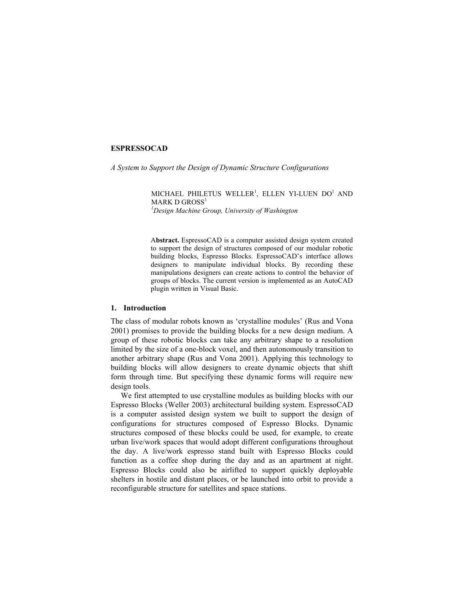# **ESPRESSOCAD**

*A System to Support the Design of Dynamic Structure Configurations* 

MICHAEL PHILETUS WELLER<sup>1</sup>, ELLEN YI-LUEN DO<sup>1</sup> AND MARK D GROSS<sup>1</sup> *1 Design Machine Group, University of Washington* 

A**bstract.** EspressoCAD is a computer assisted design system created to support the design of structures composed of our modular robotic building blocks, Espresso Blocks. EspressoCAD's interface allows designers to manipulate individual blocks. By recording these manipulations designers can create actions to control the behavior of groups of blocks. The current version is implemented as an AutoCAD plugin written in Visual Basic.

# **1. Introduction**

The class of modular robots known as 'crystalline modules' (Rus and Vona 2001) promises to provide the building blocks for a new design medium. A group of these robotic blocks can take any arbitrary shape to a resolution limited by the size of a one-block voxel, and then autonomously transition to another arbitrary shape (Rus and Vona 2001). Applying this technology to building blocks will allow designers to create dynamic objects that shift form through time. But specifying these dynamic forms will require new design tools.

We first attempted to use crystalline modules as building blocks with our Espresso Blocks (Weller 2003) architectural building system. EspressoCAD is a computer assisted design system we built to support the design of configurations for structures composed of Espresso Blocks. Dynamic structures composed of these blocks could be used, for example, to create urban live/work spaces that would adopt different configurations throughout the day. A live/work espresso stand built with Espresso Blocks could function as a coffee shop during the day and as an apartment at night. Espresso Blocks could also be airlifted to support quickly deployable shelters in hostile and distant places, or be launched into orbit to provide a reconfigurable structure for satellites and space stations.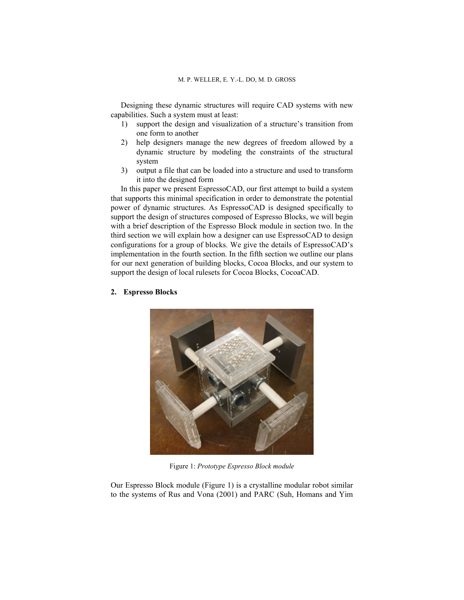Designing these dynamic structures will require CAD systems with new capabilities. Such a system must at least:

- 1) support the design and visualization of a structure's transition from one form to another
- 2) help designers manage the new degrees of freedom allowed by a dynamic structure by modeling the constraints of the structural system
- 3) output a file that can be loaded into a structure and used to transform it into the designed form

In this paper we present EspressoCAD, our first attempt to build a system that supports this minimal specification in order to demonstrate the potential power of dynamic structures. As EspressoCAD is designed specifically to support the design of structures composed of Espresso Blocks, we will begin with a brief description of the Espresso Block module in section two. In the third section we will explain how a designer can use EspressoCAD to design configurations for a group of blocks. We give the details of EspressoCAD's implementation in the fourth section. In the fifth section we outline our plans for our next generation of building blocks, Cocoa Blocks, and our system to support the design of local rulesets for Cocoa Blocks, CocoaCAD.

# **2. Espresso Blocks**



Figure 1: *Prototype Espresso Block module* 

Our Espresso Block module (Figure 1) is a crystalline modular robot similar to the systems of Rus and Vona (2001) and PARC (Suh, Homans and Yim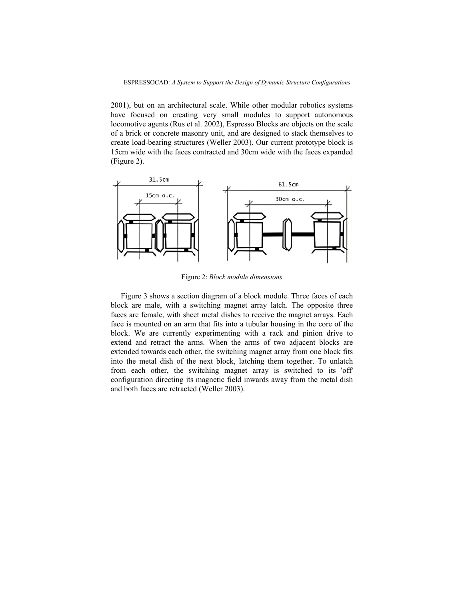2001), but on an architectural scale. While other modular robotics systems have focused on creating very small modules to support autonomous locomotive agents (Rus et al. 2002), Espresso Blocks are objects on the scale of a brick or concrete masonry unit, and are designed to stack themselves to create load-bearing structures (Weller 2003). Our current prototype block is 15cm wide with the faces contracted and 30cm wide with the faces expanded (Figure 2).



Figure 2: *Block module dimensions* 

Figure 3 shows a section diagram of a block module. Three faces of each block are male, with a switching magnet array latch. The opposite three faces are female, with sheet metal dishes to receive the magnet arrays. Each face is mounted on an arm that fits into a tubular housing in the core of the block. We are currently experimenting with a rack and pinion drive to extend and retract the arms. When the arms of two adjacent blocks are extended towards each other, the switching magnet array from one block fits into the metal dish of the next block, latching them together. To unlatch from each other, the switching magnet array is switched to its 'off' configuration directing its magnetic field inwards away from the metal dish and both faces are retracted (Weller 2003).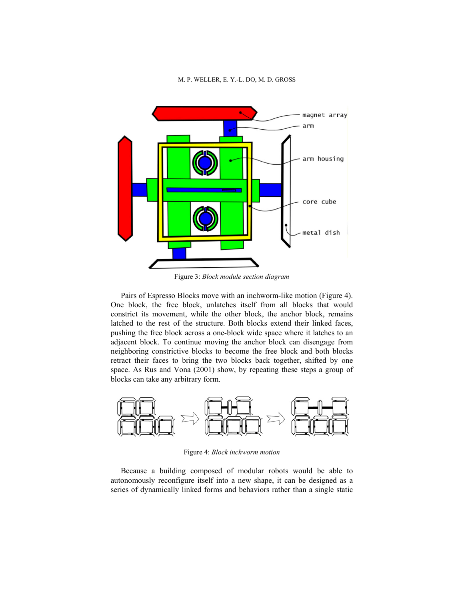#### M. P. WELLER, E. Y.-L. DO, M. D. GROSS



Figure 3: *Block module section diagram* 

Pairs of Espresso Blocks move with an inchworm-like motion (Figure 4). One block, the free block, unlatches itself from all blocks that would constrict its movement, while the other block, the anchor block, remains latched to the rest of the structure. Both blocks extend their linked faces, pushing the free block across a one-block wide space where it latches to an adjacent block. To continue moving the anchor block can disengage from neighboring constrictive blocks to become the free block and both blocks retract their faces to bring the two blocks back together, shifted by one space. As Rus and Vona (2001) show, by repeating these steps a group of blocks can take any arbitrary form.



Figure 4: *Block inchworm motion* 

Because a building composed of modular robots would be able to autonomously reconfigure itself into a new shape, it can be designed as a series of dynamically linked forms and behaviors rather than a single static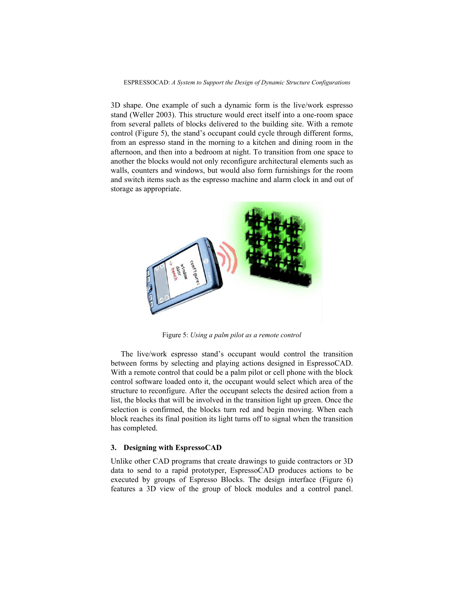#### ESPRESSOCAD: *A System to Support the Design of Dynamic Structure Configurations*

3D shape. One example of such a dynamic form is the live/work espresso stand (Weller 2003). This structure would erect itself into a one-room space from several pallets of blocks delivered to the building site. With a remote control (Figure 5), the stand's occupant could cycle through different forms, from an espresso stand in the morning to a kitchen and dining room in the afternoon, and then into a bedroom at night. To transition from one space to another the blocks would not only reconfigure architectural elements such as walls, counters and windows, but would also form furnishings for the room and switch items such as the espresso machine and alarm clock in and out of storage as appropriate.



Figure 5: *Using a palm pilot as a remote control* 

The live/work espresso stand's occupant would control the transition between forms by selecting and playing actions designed in EspressoCAD. With a remote control that could be a palm pilot or cell phone with the block control software loaded onto it, the occupant would select which area of the structure to reconfigure. After the occupant selects the desired action from a list, the blocks that will be involved in the transition light up green. Once the selection is confirmed, the blocks turn red and begin moving. When each block reaches its final position its light turns off to signal when the transition has completed.

# **3. Designing with EspressoCAD**

Unlike other CAD programs that create drawings to guide contractors or 3D data to send to a rapid prototyper, EspressoCAD produces actions to be executed by groups of Espresso Blocks. The design interface (Figure 6) features a 3D view of the group of block modules and a control panel.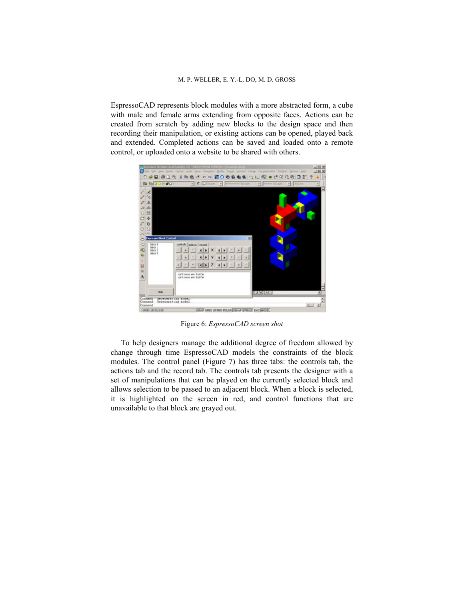EspressoCAD represents block modules with a more abstracted form, a cube with male and female arms extending from opposite faces. Actions can be created from scratch by adding new blocks to the design space and then recording their manipulation, or existing actions can be opened, played back and extended. Completed actions can be saved and loaded onto a remote control, or uploaded onto a website to be shared with others.



Figure 6: *EspressoCAD screen shot* 

To help designers manage the additional degree of freedom allowed by change through time EspressoCAD models the constraints of the block modules. The control panel (Figure 7) has three tabs: the controls tab, the actions tab and the record tab. The controls tab presents the designer with a set of manipulations that can be played on the currently selected block and allows selection to be passed to an adjacent block. When a block is selected, it is highlighted on the screen in red, and control functions that are unavailable to that block are grayed out.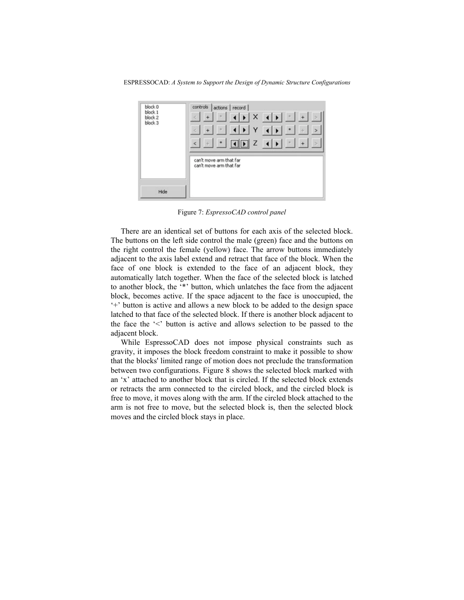ESPRESSOCAD: *A System to Support the Design of Dynamic Structure Configurations*



Figure 7: *EspressoCAD control panel* 

There are an identical set of buttons for each axis of the selected block. The buttons on the left side control the male (green) face and the buttons on the right control the female (yellow) face. The arrow buttons immediately adjacent to the axis label extend and retract that face of the block. When the face of one block is extended to the face of an adjacent block, they automatically latch together. When the face of the selected block is latched to another block, the "\*" button, which unlatches the face from the adjacent block, becomes active. If the space adjacent to the face is unoccupied, the ë+í button is active and allows a new block to be added to the design space latched to that face of the selected block. If there is another block adjacent to the face the  $\leq$  button is active and allows selection to be passed to the adjacent block.

While EspressoCAD does not impose physical constraints such as gravity, it imposes the block freedom constraint to make it possible to show that the blocks' limited range of motion does not preclude the transformation between two configurations. Figure 8 shows the selected block marked with an 'x' attached to another block that is circled. If the selected block extends or retracts the arm connected to the circled block, and the circled block is free to move, it moves along with the arm. If the circled block attached to the arm is not free to move, but the selected block is, then the selected block moves and the circled block stays in place.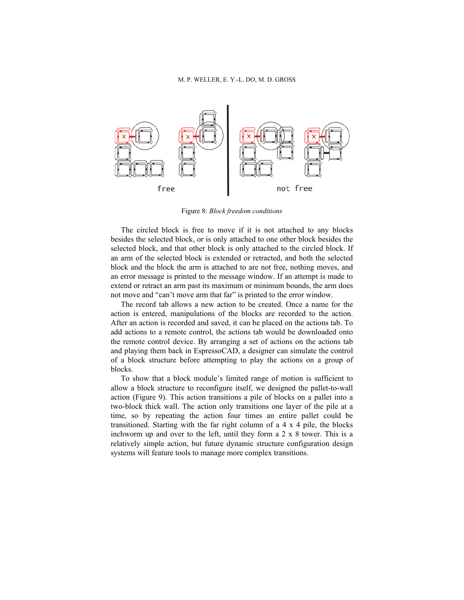

Figure 8: *Block freedom conditions* 

The circled block is free to move if it is not attached to any blocks besides the selected block, or is only attached to one other block besides the selected block, and that other block is only attached to the circled block. If an arm of the selected block is extended or retracted, and both the selected block and the block the arm is attached to are not free, nothing moves, and an error message is printed to the message window. If an attempt is made to extend or retract an arm past its maximum or minimum bounds, the arm does not move and "can't move arm that far" is printed to the error window.

The record tab allows a new action to be created. Once a name for the action is entered, manipulations of the blocks are recorded to the action. After an action is recorded and saved, it can be placed on the actions tab. To add actions to a remote control, the actions tab would be downloaded onto the remote control device. By arranging a set of actions on the actions tab and playing them back in EspressoCAD, a designer can simulate the control of a block structure before attempting to play the actions on a group of blocks.

To show that a block module's limited range of motion is sufficient to allow a block structure to reconfigure itself, we designed the pallet-to-wall action (Figure 9). This action transitions a pile of blocks on a pallet into a two-block thick wall. The action only transitions one layer of the pile at a time, so by repeating the action four times an entire pallet could be transitioned. Starting with the far right column of a 4 x 4 pile, the blocks inchworm up and over to the left, until they form a 2 x 8 tower. This is a relatively simple action, but future dynamic structure configuration design systems will feature tools to manage more complex transitions.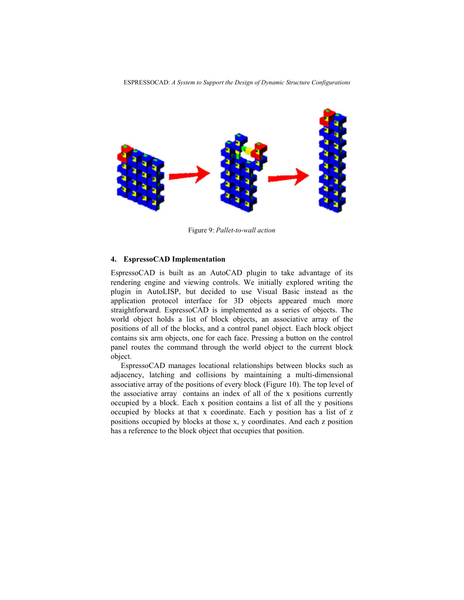

Figure 9: *Pallet-to-wall action* 

## **4. EspressoCAD Implementation**

EspressoCAD is built as an AutoCAD plugin to take advantage of its rendering engine and viewing controls. We initially explored writing the plugin in AutoLISP, but decided to use Visual Basic instead as the application protocol interface for 3D objects appeared much more straightforward. EspressoCAD is implemented as a series of objects. The world object holds a list of block objects, an associative array of the positions of all of the blocks, and a control panel object. Each block object contains six arm objects, one for each face. Pressing a button on the control panel routes the command through the world object to the current block object.

EspressoCAD manages locational relationships between blocks such as adjacency, latching and collisions by maintaining a multi-dimensional associative array of the positions of every block (Figure 10). The top level of the associative array contains an index of all of the x positions currently occupied by a block. Each x position contains a list of all the y positions occupied by blocks at that x coordinate. Each y position has a list of z positions occupied by blocks at those x, y coordinates. And each z position has a reference to the block object that occupies that position.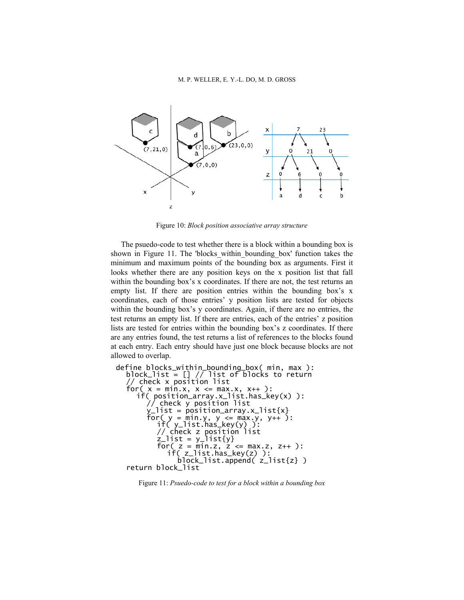

Figure 10: *Block position associative array structure* 

The psuedo-code to test whether there is a block within a bounding box is shown in Figure 11. The 'blocks\_within\_bounding\_box' function takes the minimum and maximum points of the bounding box as arguments. First it looks whether there are any position keys on the x position list that fall within the bounding box's x coordinates. If there are not, the test returns an empty list. If there are position entries within the bounding box's x coordinates, each of those entries' y position lists are tested for objects within the bounding box's y coordinates. Again, if there are no entries, the test returns an empty list. If there are entries, each of the entries' z position lists are tested for entries within the bounding box's z coordinates. If there are any entries found, the test returns a list of references to the blocks found at each entry. Each entry should have just one block because blocks are not allowed to overlap.

```
define blocks_within_bounding_box( min, max ): 
 block_list = \begin{bmatrix} 1 \end{bmatrix} // list of blocks to return
  // check x position list 
 for( x = min.x, x \le max.x, x++):
if( position_array.x_list.has_key(x) ): 
// check y position list 
y_list = position_array.x_list{x} 
for( y = min.y, y <= max.y, y++ ): 
if( y_list.has_key(y) ): 
// check z position list 
         // check z position<br>z_list = y_list{y}<br>for( z = min.z, z <=
              z = min.z, z \le max.z, z++ ):
               if( z_list.has_key(z) ): 
                block_list.append( z_list{z} ) 
  return block_list
```
Figure 11: *Psuedo-code to test for a block within a bounding box*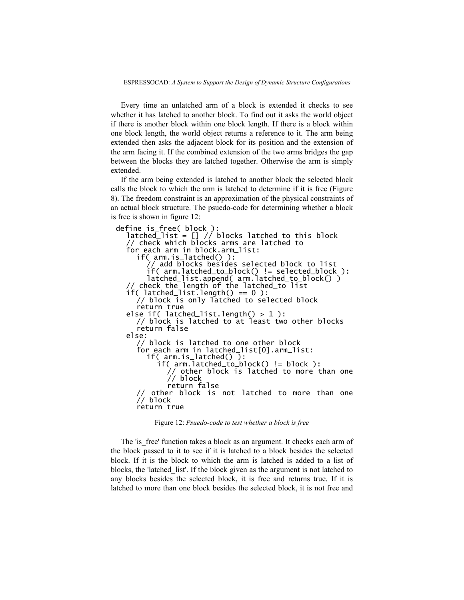ESPRESSOCAD: *A System to Support the Design of Dynamic Structure Configurations*

Every time an unlatched arm of a block is extended it checks to see whether it has latched to another block. To find out it asks the world object if there is another block within one block length. If there is a block within one block length, the world object returns a reference to it. The arm being extended then asks the adjacent block for its position and the extension of the arm facing it. If the combined extension of the two arms bridges the gap between the blocks they are latched together. Otherwise the arm is simply extended.

If the arm being extended is latched to another block the selected block calls the block to which the arm is latched to determine if it is free (Figure 8). The freedom constraint is an approximation of the physical constraints of an actual block structure. The psuedo-code for determining whether a block is free is shown in figure 12:

define is\_free( block ): latched\_list = [] // blocks latched to this block // check which blocks arms are latched to for each arm in block.arm\_list: if( arm.is\_latched() ): // add blocks besides selected block to list if( arm.latched\_to\_block() != selected\_block ): latched\_list.append( arm.latched\_to\_block() ) // check the length of the latched\_to list  $if($   $latched\_list.length() == 0 )$  : // block is only latched to selected block return true else if(  $latched_{list}$ .length $() > 1$  ): // block is latched to at least two other blocks return false else: // block is latched to one other block for each arm in latched\_list[0].arm\_list: if( arm.is\_latched() ): if( arm.latched\_to\_block() != block ): // other block is latched to more than one // block return false other block is not latched to more than one  $\frac{1}{2}$  block return true

Figure 12: *Psuedo-code to test whether a block is free* 

The 'is free' function takes a block as an argument. It checks each arm of the block passed to it to see if it is latched to a block besides the selected block. If it is the block to which the arm is latched is added to a list of blocks, the 'latched\_list'. If the block given as the argument is not latched to any blocks besides the selected block, it is free and returns true. If it is latched to more than one block besides the selected block, it is not free and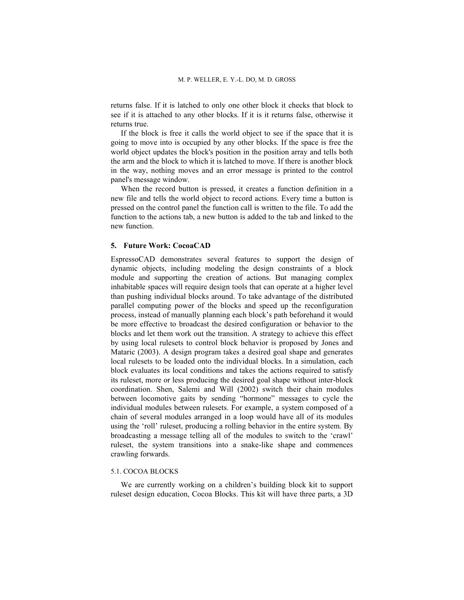returns false. If it is latched to only one other block it checks that block to see if it is attached to any other blocks. If it is it returns false, otherwise it returns true.

If the block is free it calls the world object to see if the space that it is going to move into is occupied by any other blocks. If the space is free the world object updates the block's position in the position array and tells both the arm and the block to which it is latched to move. If there is another block in the way, nothing moves and an error message is printed to the control panel's message window.

When the record button is pressed, it creates a function definition in a new file and tells the world object to record actions. Every time a button is pressed on the control panel the function call is written to the file. To add the function to the actions tab, a new button is added to the tab and linked to the new function.

## **5. Future Work: CocoaCAD**

EspressoCAD demonstrates several features to support the design of dynamic objects, including modeling the design constraints of a block module and supporting the creation of actions. But managing complex inhabitable spaces will require design tools that can operate at a higher level than pushing individual blocks around. To take advantage of the distributed parallel computing power of the blocks and speed up the reconfiguration process, instead of manually planning each block's path beforehand it would be more effective to broadcast the desired configuration or behavior to the blocks and let them work out the transition. A strategy to achieve this effect by using local rulesets to control block behavior is proposed by Jones and Mataric (2003). A design program takes a desired goal shape and generates local rulesets to be loaded onto the individual blocks. In a simulation, each block evaluates its local conditions and takes the actions required to satisfy its ruleset, more or less producing the desired goal shape without inter-block coordination. Shen, Salemi and Will (2002) switch their chain modules between locomotive gaits by sending "hormone" messages to cycle the individual modules between rulesets. For example, a system composed of a chain of several modules arranged in a loop would have all of its modules using the 'roll' ruleset, producing a rolling behavior in the entire system. By broadcasting a message telling all of the modules to switch to the 'crawl' ruleset, the system transitions into a snake-like shape and commences crawling forwards.

# 5.1. COCOA BLOCKS

We are currently working on a children's building block kit to support ruleset design education, Cocoa Blocks. This kit will have three parts, a 3D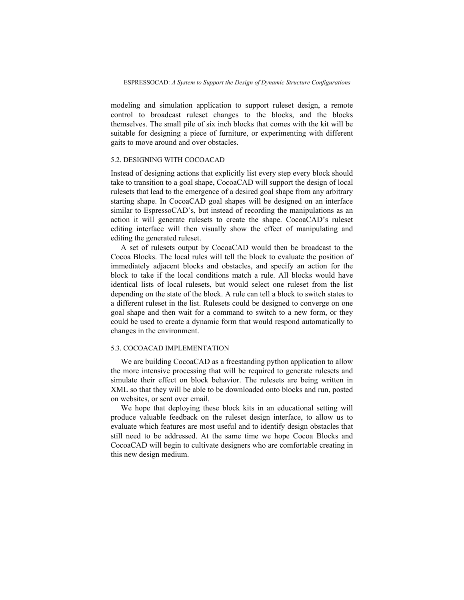modeling and simulation application to support ruleset design, a remote control to broadcast ruleset changes to the blocks, and the blocks themselves. The small pile of six inch blocks that comes with the kit will be suitable for designing a piece of furniture, or experimenting with different gaits to move around and over obstacles.

### 5.2. DESIGNING WITH COCOACAD

Instead of designing actions that explicitly list every step every block should take to transition to a goal shape, CocoaCAD will support the design of local rulesets that lead to the emergence of a desired goal shape from any arbitrary starting shape. In CocoaCAD goal shapes will be designed on an interface similar to EspressoCAD's, but instead of recording the manipulations as an action it will generate rulesets to create the shape. CocoaCAD's ruleset editing interface will then visually show the effect of manipulating and editing the generated ruleset.

A set of rulesets output by CocoaCAD would then be broadcast to the Cocoa Blocks. The local rules will tell the block to evaluate the position of immediately adjacent blocks and obstacles, and specify an action for the block to take if the local conditions match a rule. All blocks would have identical lists of local rulesets, but would select one ruleset from the list depending on the state of the block. A rule can tell a block to switch states to a different ruleset in the list. Rulesets could be designed to converge on one goal shape and then wait for a command to switch to a new form, or they could be used to create a dynamic form that would respond automatically to changes in the environment.

### 5.3. COCOACAD IMPLEMENTATION

We are building CocoaCAD as a freestanding python application to allow the more intensive processing that will be required to generate rulesets and simulate their effect on block behavior. The rulesets are being written in XML so that they will be able to be downloaded onto blocks and run, posted on websites, or sent over email.

We hope that deploying these block kits in an educational setting will produce valuable feedback on the ruleset design interface, to allow us to evaluate which features are most useful and to identify design obstacles that still need to be addressed. At the same time we hope Cocoa Blocks and CocoaCAD will begin to cultivate designers who are comfortable creating in this new design medium.